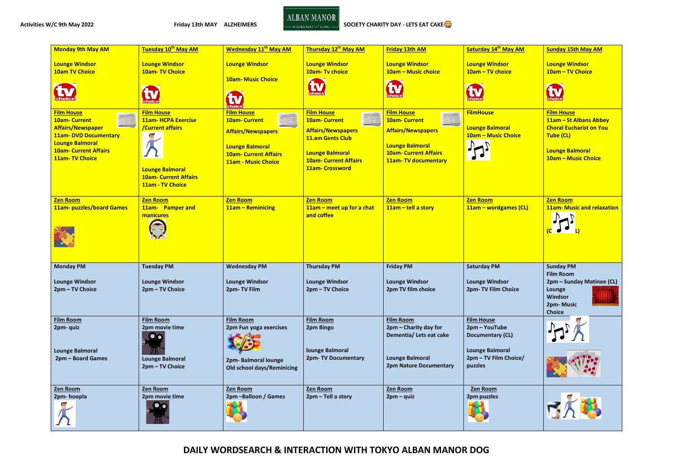

Activities W/C 9th May 2022 **Activities W/C 9th May 2022 Friday 13th MAY ALZHEIMERS** Alternative Management CHARITY DAY - LETS EAT CAKE<sup>C</sup>

**DAILY WORDSEARCH & INTERACTION WITH TOKYO ALBAN MANOR DOG**

| <b>Monday 9th May AM</b>                                                                                                                                                                               | Tuesday 10 <sup>th</sup> May AM                                                                                                                   | <b>Wednesday 11<sup>th</sup> May AM</b>                                                                                                                                      | Thursday 12th May AM                                                                                                                                                                               | <b>Friday 13th AM</b>                                                                                                                                                       | Saturday 14th May AM                                                                                                        | <b>Sunday 15th May AM</b>                                                                                                                   |
|--------------------------------------------------------------------------------------------------------------------------------------------------------------------------------------------------------|---------------------------------------------------------------------------------------------------------------------------------------------------|------------------------------------------------------------------------------------------------------------------------------------------------------------------------------|----------------------------------------------------------------------------------------------------------------------------------------------------------------------------------------------------|-----------------------------------------------------------------------------------------------------------------------------------------------------------------------------|-----------------------------------------------------------------------------------------------------------------------------|---------------------------------------------------------------------------------------------------------------------------------------------|
| <b>Lounge Windsor</b><br><b>10am TV Choice</b><br>$\sum_{\text{cholic}}$                                                                                                                               | <b>Lounge Windsor</b><br><b>10am-TV Choice</b><br>choice <sup></sup>                                                                              | <b>Lounge Windsor</b><br><b>10am- Music Choice</b><br><b>Choice</b>                                                                                                          | <b>Lounge Windsor</b><br>10am-Tv choice<br>choice                                                                                                                                                  | <b>Lounge Windsor</b><br>10am - Music choice<br>tv<br>choice                                                                                                                | <b>Lounge Windsor</b><br>10am - TV choice<br>$\sum_{\text{choice}}$                                                         | <b>Lounge Windsor</b><br>10am - TV Choice<br><b>Choice</b>                                                                                  |
| <b>Film House</b><br>DAILY NEWS<br><b>10am- Current</b><br><b>Affairs/Newspaper</b><br><b>11am- DVD Documentary</b><br><b>Lounge Balmoral</b><br><b>10am- Current Affairs</b><br><b>11am-TV Choice</b> | <b>Film House</b><br><b>11am- HCPA Exercise</b><br>/Current affairs<br><b>Lounge Balmoral</b><br><b>10am- Current Affairs</b><br>11am - TV Choice | <b>Film House</b><br>DAILY NEWS<br><b>10am- Current</b><br><b>Affairs/Newspapers</b><br><b>Lounge Balmoral</b><br><b>10am- Current Affairs</b><br><b>11am - Music Choice</b> | <b>Film House</b><br>DAILY NEWS<br><b>10am-Current</b><br>EEL,<br><b>Affairs/Newspapers</b><br><b>11.am Gents Club</b><br><b>Lounge Balmoral</b><br><b>10am- Current Affairs</b><br>11am-Crossword | <b>Film House</b><br><b>DAILY NEWS</b><br><b>10am-Current</b><br><b>Affairs/Newspapers</b><br><b>Lounge Balmoral</b><br><b>10am- Current Affairs</b><br>11am-TV documentary | <b>FilmHouse</b><br><b>Lounge Balmoral</b><br>10am - Music Choice                                                           | <b>Film House</b><br>11am - St Albans Abbey<br><b>Choral Eucharist on You</b><br>Tube (CL)<br><b>Lounge Balmoral</b><br>10am - Music Choice |
| <b>Zen Room</b><br><b>11am-puzzles/board Games</b>                                                                                                                                                     | <b>Zen Room</b><br>11am- Pamper and<br>manicures                                                                                                  | <b>Zen Room</b><br>11am - Reminicing                                                                                                                                         | <b>Zen Room</b><br>$11$ am – meet up for a chat<br>and coffee                                                                                                                                      | <b>Zen Room</b><br>$11am -$ tell a story                                                                                                                                    | <b>Zen Room</b><br>11am - wordgames (CL)                                                                                    | <b>Zen Room</b><br><b>11am- Music and relaxation</b>                                                                                        |
| <b>Monday PM</b><br><b>Lounge Windsor</b><br>2pm - TV Choice                                                                                                                                           | <b>Tuesday PM</b><br><b>Lounge Windsor</b><br>2pm - TV Choice                                                                                     | <b>Wednesday PM</b><br><b>Lounge Windsor</b><br>2pm-TV Film                                                                                                                  | <b>Thursday PM</b><br><b>Lounge Windsor</b><br>2pm - TV Choice                                                                                                                                     | <b>Friday PM</b><br><b>Lounge Windsor</b><br>2pm TV film choice                                                                                                             | <b>Saturday PM</b><br><b>Lounge Windsor</b><br>2pm- TV Film Choice                                                          | <b>Sunday PM</b><br><b>Film Room</b><br>2pm - Sunday Matinee (CL)<br>Lounge<br>Windsor<br>2pm-Music<br><b>Choice</b>                        |
| <b>Film Room</b><br>2pm- quiz<br><b>Lounge Balmoral</b><br>2pm - Board Games                                                                                                                           | <b>Film Room</b><br>2pm movie time<br>$\bullet$<br><b>Lounge Balmoral</b><br>2pm - TV Choice                                                      | <b>Film Room</b><br>2pm Fun yoga exercises<br>2pm-Balmoral lounge<br><b>Old school days/Reminicing</b>                                                                       | <b>Film Room</b><br>2pm Bingo<br>lounge Balmoral<br>2pm-TV Documentary                                                                                                                             | <b>Film Room</b><br>2pm – Charity day for<br>Dementia/ Lets eat cake<br><b>Lounge Balmoral</b><br><b>2pm Nature Documentary</b>                                             | <b>Film House</b><br>2pm - YouTube<br><b>Documentary (CL)</b><br><b>Lounge Balmoral</b><br>2pm - TV Film Choice/<br>puzzles |                                                                                                                                             |
| <b>Zen Room</b><br>2pm-hoopla                                                                                                                                                                          | <b>Zen Room</b><br>2pm movie time                                                                                                                 | Zen Room<br>2pm-Balloon / Games                                                                                                                                              | <b>Zen Room</b><br>2pm - Tell a story                                                                                                                                                              | <b>Zen Room</b><br>$2pm -$ quiz                                                                                                                                             | <b>Zen Room</b><br>2pm puzzles                                                                                              |                                                                                                                                             |